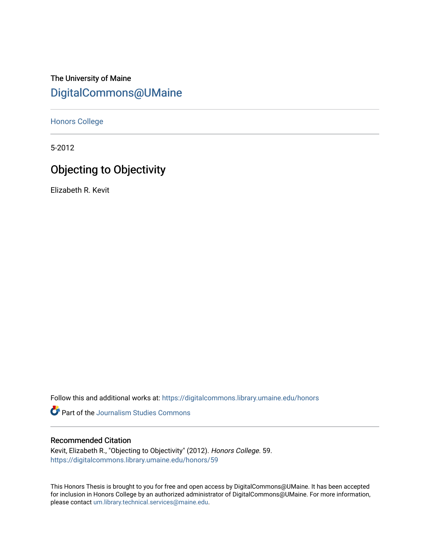# The University of Maine [DigitalCommons@UMaine](https://digitalcommons.library.umaine.edu/)

[Honors College](https://digitalcommons.library.umaine.edu/honors)

5-2012

# Objecting to Objectivity

Elizabeth R. Kevit

Follow this and additional works at: [https://digitalcommons.library.umaine.edu/honors](https://digitalcommons.library.umaine.edu/honors?utm_source=digitalcommons.library.umaine.edu%2Fhonors%2F59&utm_medium=PDF&utm_campaign=PDFCoverPages) 

**C** Part of the [Journalism Studies Commons](http://network.bepress.com/hgg/discipline/333?utm_source=digitalcommons.library.umaine.edu%2Fhonors%2F59&utm_medium=PDF&utm_campaign=PDFCoverPages)

### Recommended Citation

Kevit, Elizabeth R., "Objecting to Objectivity" (2012). Honors College. 59. [https://digitalcommons.library.umaine.edu/honors/59](https://digitalcommons.library.umaine.edu/honors/59?utm_source=digitalcommons.library.umaine.edu%2Fhonors%2F59&utm_medium=PDF&utm_campaign=PDFCoverPages) 

This Honors Thesis is brought to you for free and open access by DigitalCommons@UMaine. It has been accepted for inclusion in Honors College by an authorized administrator of DigitalCommons@UMaine. For more information, please contact [um.library.technical.services@maine.edu.](mailto:um.library.technical.services@maine.edu)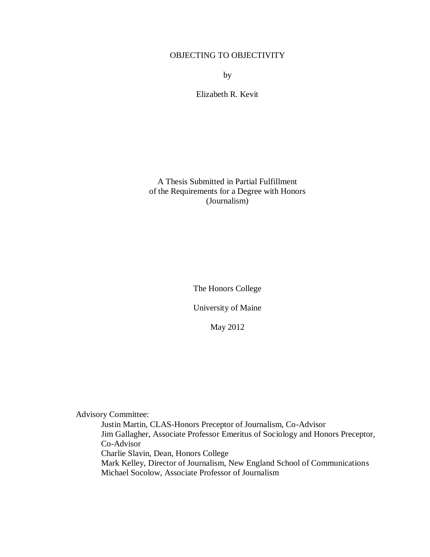# OBJECTING TO OBJECTIVITY

by

Elizabeth R. Kevit

A Thesis Submitted in Partial Fulfillment of the Requirements for a Degree with Honors (Journalism)

The Honors College

University of Maine

May 2012

Advisory Committee:

Justin Martin, CLAS-Honors Preceptor of Journalism, Co-Advisor Jim Gallagher, Associate Professor Emeritus of Sociology and Honors Preceptor, Co-Advisor Charlie Slavin, Dean, Honors College Mark Kelley, Director of Journalism, New England School of Communications Michael Socolow, Associate Professor of Journalism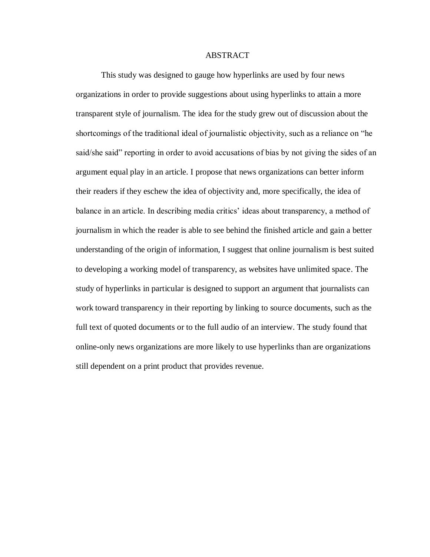#### ABSTRACT

This study was designed to gauge how hyperlinks are used by four news organizations in order to provide suggestions about using hyperlinks to attain a more transparent style of journalism. The idea for the study grew out of discussion about the shortcomings of the traditional ideal of journalistic objectivity, such as a reliance on "he said/she said" reporting in order to avoid accusations of bias by not giving the sides of an argument equal play in an article. I propose that news organizations can better inform their readers if they eschew the idea of objectivity and, more specifically, the idea of balance in an article. In describing media critics' ideas about transparency, a method of journalism in which the reader is able to see behind the finished article and gain a better understanding of the origin of information, I suggest that online journalism is best suited to developing a working model of transparency, as websites have unlimited space. The study of hyperlinks in particular is designed to support an argument that journalists can work toward transparency in their reporting by linking to source documents, such as the full text of quoted documents or to the full audio of an interview. The study found that online-only news organizations are more likely to use hyperlinks than are organizations still dependent on a print product that provides revenue.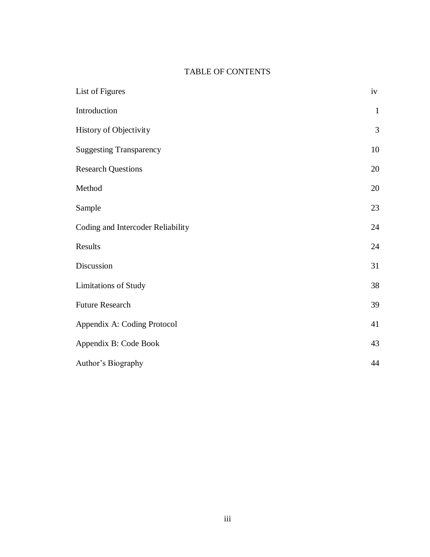# TABLE OF CONTENTS

| List of Figures                   | iv           |
|-----------------------------------|--------------|
| Introduction                      | $\mathbf{1}$ |
| History of Objectivity            | 3            |
| <b>Suggesting Transparency</b>    | 10           |
| <b>Research Questions</b>         | 20           |
| Method                            | 20           |
| Sample                            | 23           |
| Coding and Intercoder Reliability | 24           |
| Results                           | 24           |
| Discussion                        | 31           |
| <b>Limitations of Study</b>       | 38           |
| <b>Future Research</b>            | 39           |
| Appendix A: Coding Protocol       | 41           |
| Appendix B: Code Book             | 43           |
| Author's Biography                | 44           |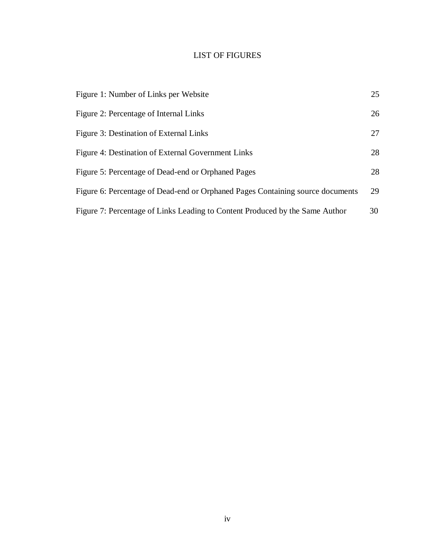# LIST OF FIGURES

| Figure 1: Number of Links per Website                                          | 25 |
|--------------------------------------------------------------------------------|----|
| Figure 2: Percentage of Internal Links                                         | 26 |
| Figure 3: Destination of External Links                                        | 27 |
| Figure 4: Destination of External Government Links                             | 28 |
| Figure 5: Percentage of Dead-end or Orphaned Pages                             | 28 |
| Figure 6: Percentage of Dead-end or Orphaned Pages Containing source documents | 29 |
| Figure 7: Percentage of Links Leading to Content Produced by the Same Author   | 30 |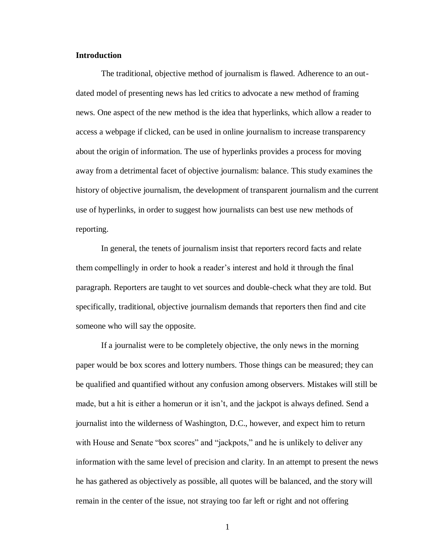# **Introduction**

The traditional, objective method of journalism is flawed. Adherence to an outdated model of presenting news has led critics to advocate a new method of framing news. One aspect of the new method is the idea that hyperlinks, which allow a reader to access a webpage if clicked, can be used in online journalism to increase transparency about the origin of information. The use of hyperlinks provides a process for moving away from a detrimental facet of objective journalism: balance. This study examines the history of objective journalism, the development of transparent journalism and the current use of hyperlinks, in order to suggest how journalists can best use new methods of reporting.

In general, the tenets of journalism insist that reporters record facts and relate them compellingly in order to hook a reader's interest and hold it through the final paragraph. Reporters are taught to vet sources and double-check what they are told. But specifically, traditional, objective journalism demands that reporters then find and cite someone who will say the opposite.

If a journalist were to be completely objective, the only news in the morning paper would be box scores and lottery numbers. Those things can be measured; they can be qualified and quantified without any confusion among observers. Mistakes will still be made, but a hit is either a homerun or it isn't, and the jackpot is always defined. Send a journalist into the wilderness of Washington, D.C., however, and expect him to return with House and Senate "box scores" and "jackpots," and he is unlikely to deliver any information with the same level of precision and clarity. In an attempt to present the news he has gathered as objectively as possible, all quotes will be balanced, and the story will remain in the center of the issue, not straying too far left or right and not offering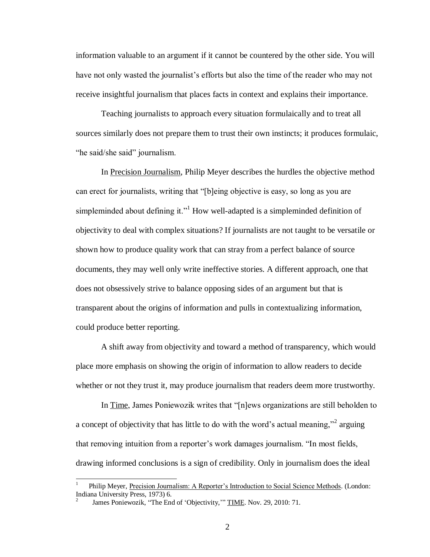information valuable to an argument if it cannot be countered by the other side. You will have not only wasted the journalist's efforts but also the time of the reader who may not receive insightful journalism that places facts in context and explains their importance.

Teaching journalists to approach every situation formulaically and to treat all sources similarly does not prepare them to trust their own instincts; it produces formulaic, "he said/she said" journalism.

In Precision Journalism, Philip Meyer describes the hurdles the objective method can erect for journalists, writing that "[b]eing objective is easy, so long as you are simpleminded about defining it."<sup>1</sup> How well-adapted is a simpleminded definition of objectivity to deal with complex situations? If journalists are not taught to be versatile or shown how to produce quality work that can stray from a perfect balance of source documents, they may well only write ineffective stories. A different approach, one that does not obsessively strive to balance opposing sides of an argument but that is transparent about the origins of information and pulls in contextualizing information, could produce better reporting.

A shift away from objectivity and toward a method of transparency, which would place more emphasis on showing the origin of information to allow readers to decide whether or not they trust it, may produce journalism that readers deem more trustworthy.

In Time, James Poniewozik writes that "[n]ews organizations are still beholden to a concept of objectivity that has little to do with the word's actual meaning,"<sup>2</sup> arguing that removing intuition from a reporter's work damages journalism. "In most fields, drawing informed conclusions is a sign of credibility. Only in journalism does the ideal

 $\overline{a}$ 

<sup>1</sup> Philip Meyer, Precision Journalism: A Reporter's Introduction to Social Science Methods. (London: Indiana University Press, 1973) 6.

<sup>2</sup> James Poniewozik, "The End of 'Objectivity,'" TIME. Nov. 29, 2010: 71.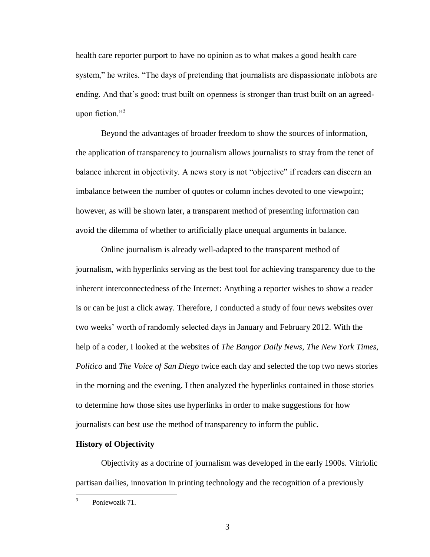health care reporter purport to have no opinion as to what makes a good health care system," he writes. "The days of pretending that journalists are dispassionate infobots are ending. And that's good: trust built on openness is stronger than trust built on an agreedupon fiction. $^{3}$ 

Beyond the advantages of broader freedom to show the sources of information, the application of transparency to journalism allows journalists to stray from the tenet of balance inherent in objectivity. A news story is not "objective" if readers can discern an imbalance between the number of quotes or column inches devoted to one viewpoint; however, as will be shown later, a transparent method of presenting information can avoid the dilemma of whether to artificially place unequal arguments in balance.

Online journalism is already well-adapted to the transparent method of journalism, with hyperlinks serving as the best tool for achieving transparency due to the inherent interconnectedness of the Internet: Anything a reporter wishes to show a reader is or can be just a click away. Therefore, I conducted a study of four news websites over two weeks' worth of randomly selected days in January and February 2012. With the help of a coder, I looked at the websites of *The Bangor Daily News*, *The New York Times*, *Politico* and *The Voice of San Diego* twice each day and selected the top two news stories in the morning and the evening. I then analyzed the hyperlinks contained in those stories to determine how those sites use hyperlinks in order to make suggestions for how journalists can best use the method of transparency to inform the public.

#### **History of Objectivity**

Objectivity as a doctrine of journalism was developed in the early 1900s. Vitriolic partisan dailies, innovation in printing technology and the recognition of a previously

 3 Poniewozik 71.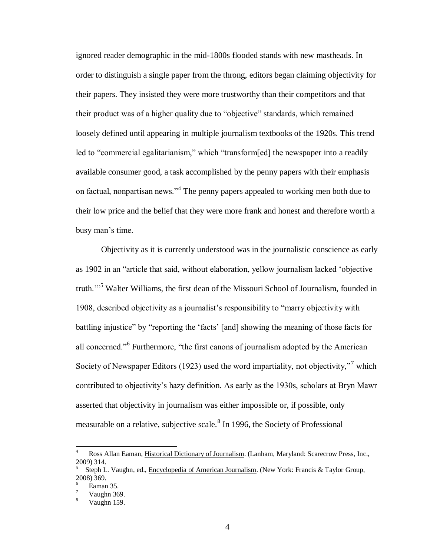ignored reader demographic in the mid-1800s flooded stands with new mastheads. In order to distinguish a single paper from the throng, editors began claiming objectivity for their papers. They insisted they were more trustworthy than their competitors and that their product was of a higher quality due to "objective" standards, which remained loosely defined until appearing in multiple journalism textbooks of the 1920s. This trend led to "commercial egalitarianism," which "transform[ed] the newspaper into a readily available consumer good, a task accomplished by the penny papers with their emphasis on factual, nonpartisan news."<sup>4</sup> The penny papers appealed to working men both due to their low price and the belief that they were more frank and honest and therefore worth a busy man's time.

Objectivity as it is currently understood was in the journalistic conscience as early as 1902 in an "article that said, without elaboration, yellow journalism lacked 'objective truth.'"<sup>5</sup> Walter Williams, the first dean of the Missouri School of Journalism, founded in 1908, described objectivity as a journalist's responsibility to "marry objectivity with battling injustice" by "reporting the 'facts' [and] showing the meaning of those facts for all concerned."<sup>6</sup> Furthermore, "the first canons of journalism adopted by the American Society of Newspaper Editors (1923) used the word impartiality, not objectivity,"<sup>7</sup> which contributed to objectivity's hazy definition. As early as the 1930s, scholars at Bryn Mawr asserted that objectivity in journalism was either impossible or, if possible, only measurable on a relative, subjective scale.<sup>8</sup> In 1996, the Society of Professional

ا<br>4 Ross Allan Eaman, Historical Dictionary of Journalism. (Lanham, Maryland: Scarecrow Press, Inc., 2009) 314.

<sup>5</sup> Steph L. Vaughn, ed., Encyclopedia of American Journalism. (New York: Francis & Taylor Group, 2008) 369.

<sup>6</sup> Eaman 35.

<sup>7</sup> Vaughn 369.

<sup>8</sup> Vaughn 159.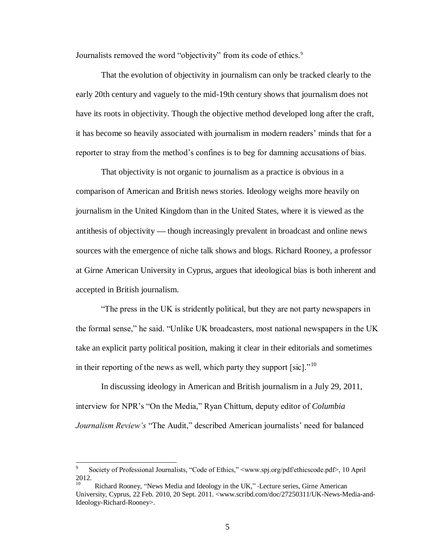Journalists removed the word "objectivity" from its code of ethics.<sup>9</sup>

That the evolution of objectivity in journalism can only be tracked clearly to the early 20th century and vaguely to the mid-19th century shows that journalism does not have its roots in objectivity. Though the objective method developed long after the craft, it has become so heavily associated with journalism in modern readers' minds that for a reporter to stray from the method's confines is to beg for damning accusations of bias.

That objectivity is not organic to journalism as a practice is obvious in a comparison of American and British news stories. Ideology weighs more heavily on journalism in the United Kingdom than in the United States, where it is viewed as the antithesis of objectivity — though increasingly prevalent in broadcast and online news sources with the emergence of niche talk shows and blogs. Richard Rooney, a professor at Girne American University in Cyprus, argues that ideological bias is both inherent and accepted in British journalism.

"The press in the UK is stridently political, but they are not party newspapers in the formal sense," he said. "Unlike UK broadcasters, most national newspapers in the UK take an explicit party political position, making it clear in their editorials and sometimes in their reporting of the news as well, which party they support [sic]."<sup>10</sup>

In discussing ideology in American and British journalism in a July 29, 2011, interview for NPR's "On the Media," Ryan Chittum, deputy editor of *Columbia Journalism Review's* "The Audit," described American journalists' need for balanced

 $\overline{a}$ 

<sup>9</sup> Society of Professional Journalists, "Code of Ethics," <www.spj.org/pdf/ethicscode.pdf>, 10 April 2012.

<sup>10</sup> Richard Rooney, "News Media and Ideology in the UK," Lecture series, Girne American University, Cyprus, 22 Feb. 2010, 20 Sept. 2011. <www.scribd.com/doc/27250311/UK-News-Media-and-Ideology-Richard-Rooney>.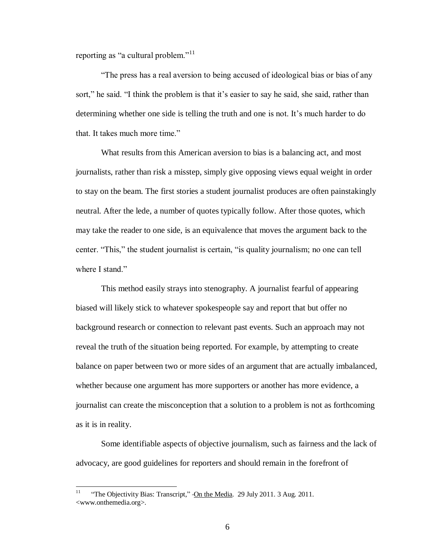reporting as "a cultural problem."<sup>11</sup>

"The press has a real aversion to being accused of ideological bias or bias of any sort," he said. "I think the problem is that it's easier to say he said, she said, rather than determining whether one side is telling the truth and one is not. It's much harder to do that. It takes much more time."

What results from this American aversion to bias is a balancing act, and most journalists, rather than risk a misstep, simply give opposing views equal weight in order to stay on the beam. The first stories a student journalist produces are often painstakingly neutral. After the lede, a number of quotes typically follow. After those quotes, which may take the reader to one side, is an equivalence that moves the argument back to the center. "This," the student journalist is certain, "is quality journalism; no one can tell where I stand."

This method easily strays into stenography. A journalist fearful of appearing biased will likely stick to whatever spokespeople say and report that but offer no background research or connection to relevant past events. Such an approach may not reveal the truth of the situation being reported. For example, by attempting to create balance on paper between two or more sides of an argument that are actually imbalanced, whether because one argument has more supporters or another has more evidence, a journalist can create the misconception that a solution to a problem is not as forthcoming as it is in reality.

Some identifiable aspects of objective journalism, such as fairness and the lack of advocacy, are good guidelines for reporters and should remain in the forefront of

 11 "The Objectivity Bias: Transcript," On the Media. 29 July 2011. 3 Aug. 2011. <www.onthemedia.org>.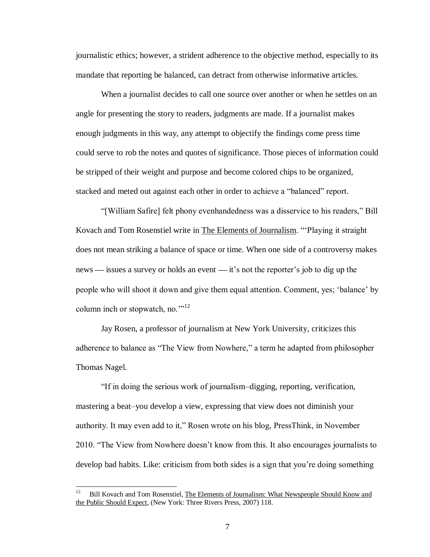journalistic ethics; however, a strident adherence to the objective method, especially to its mandate that reporting be balanced, can detract from otherwise informative articles.

When a journalist decides to call one source over another or when he settles on an angle for presenting the story to readers, judgments are made. If a journalist makes enough judgments in this way, any attempt to objectify the findings come press time could serve to rob the notes and quotes of significance. Those pieces of information could be stripped of their weight and purpose and become colored chips to be organized, stacked and meted out against each other in order to achieve a "balanced" report.

"[William Safire] felt phony evenhandedness was a disservice to his readers," Bill Kovach and Tom Rosenstiel write in The Elements of Journalism. "'Playing it straight does not mean striking a balance of space or time. When one side of a controversy makes news — issues a survey or holds an event — it's not the reporter's job to dig up the people who will shoot it down and give them equal attention. Comment, yes; 'balance' by column inch or stopwatch, no."<sup>12</sup>

Jay Rosen, a professor of journalism at New York University, criticizes this adherence to balance as "The View from Nowhere," a term he adapted from philosopher Thomas Nagel.

"If in doing the serious work of journalism–digging, reporting, verification, mastering a beat–you develop a view, expressing that view does not diminish your authority. It may even add to it," Rosen wrote on his blog, PressThink, in November 2010. "The View from Nowhere doesn't know from this. It also encourages journalists to develop bad habits. Like: criticism from both sides is a sign that you're doing something

 $\frac{1}{12}$  Bill Kovach and Tom Rosenstiel, The Elements of Journalism: What Newspeople Should Know and the Public Should Expect, (New York: Three Rivers Press, 2007) 118.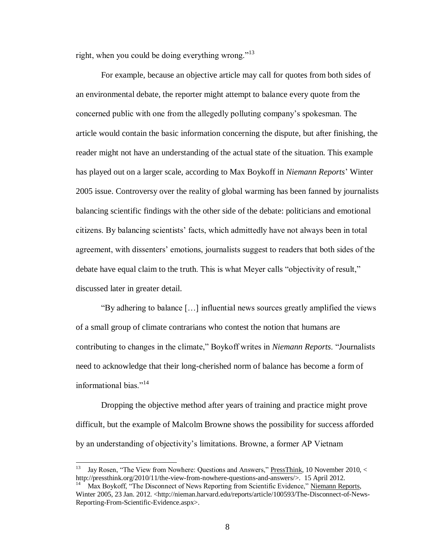right, when you could be doing everything wrong."<sup>13</sup>

For example, because an objective article may call for quotes from both sides of an environmental debate, the reporter might attempt to balance every quote from the concerned public with one from the allegedly polluting company's spokesman. The article would contain the basic information concerning the dispute, but after finishing, the reader might not have an understanding of the actual state of the situation. This example has played out on a larger scale, according to Max Boykoff in *Niemann Reports*' Winter 2005 issue. Controversy over the reality of global warming has been fanned by journalists balancing scientific findings with the other side of the debate: politicians and emotional citizens. By balancing scientists' facts, which admittedly have not always been in total agreement, with dissenters' emotions, journalists suggest to readers that both sides of the debate have equal claim to the truth. This is what Meyer calls "objectivity of result," discussed later in greater detail.

"By adhering to balance […] influential news sources greatly amplified the views of a small group of climate contrarians who contest the notion that humans are contributing to changes in the climate," Boykoff writes in *Niemann Reports*. "Journalists need to acknowledge that their long-cherished norm of balance has become a form of informational bias."<sup>14</sup>

Dropping the objective method after years of training and practice might prove difficult, but the example of Malcolm Browne shows the possibility for success afforded by an understanding of objectivity's limitations. Browne, a former AP Vietnam

 13 Jay Rosen, "The View from Nowhere: Questions and Answers," PressThink, 10 November 2010, < http://pressthink.org/2010/11/the-view-from-nowhere-questions-and-answers/>. 15 April 2012.

<sup>&</sup>lt;sup>14</sup> Max Boykoff, "The Disconnect of News Reporting from Scientific Evidence," Niemann Reports, Winter 2005, 23 Jan. 2012. <http://nieman.harvard.edu/reports/article/100593/The-Disconnect-of-News-Reporting-From-Scientific-Evidence.aspx>.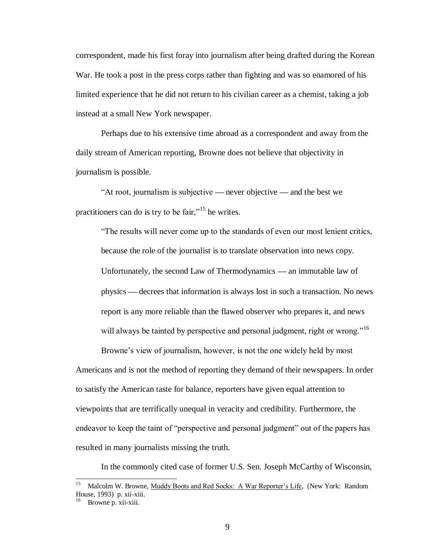correspondent, made his first foray into journalism after being drafted during the Korean War. He took a post in the press corps rather than fighting and was so enamored of his limited experience that he did not return to his civilian career as a chemist, taking a job instead at a small New York newspaper.

Perhaps due to his extensive time abroad as a correspondent and away from the daily stream of American reporting, Browne does not believe that objectivity in journalism is possible.

"At root, journalism is subjective — never objective — and the best we practitioners can do is try to be fair,"<sup>15</sup> he writes.

"The results will never come up to the standards of even our most lenient critics, because the role of the journalist is to translate observation into news copy. Unfortunately, the second Law of Thermodynamics — an immutable law of physics decrees that information is always lost in such a transaction. No news report is any more reliable than the flawed observer who prepares it, and news will always be tainted by perspective and personal judgment, right or wrong."<sup>16</sup>

Americans and is not the method of reporting they demand of their newspapers. In order to satisfy the American taste for balance, reporters have given equal attention to viewpoints that are terrifically unequal in veracity and credibility. Furthermore, the endeavor to keep the taint of "perspective and personal judgment" out of the papers has resulted in many journalists missing the truth.

Browne's view of journalism, however, is not the one widely held by most

In the commonly cited case of former U.S. Sen. Joseph McCarthy of Wisconsin,

 15 Malcolm W. Browne, Muddy Boots and Red Socks: A War Reporter's Life, (New York: Random House, 1993) p. xii-xiii.

<sup>16</sup> Browne p. xii-xiii.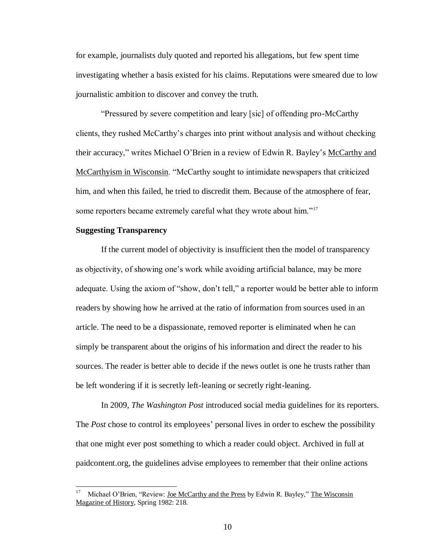for example, journalists duly quoted and reported his allegations, but few spent time investigating whether a basis existed for his claims. Reputations were smeared due to low journalistic ambition to discover and convey the truth.

"Pressured by severe competition and leary [sic] of offending pro-McCarthy clients, they rushed McCarthy's charges into print without analysis and without checking their accuracy," writes Michael O'Brien in a review of Edwin R. Bayley's McCarthy and McCarthyism in Wisconsin. "McCarthy sought to intimidate newspapers that criticized him, and when this failed, he tried to discredit them. Because of the atmosphere of fear, some reporters became extremely careful what they wrote about him."<sup>17</sup>

#### **Suggesting Transparency**

 $\overline{a}$ 

If the current model of objectivity is insufficient then the model of transparency as objectivity, of showing one's work while avoiding artificial balance, may be more adequate. Using the axiom of "show, don't tell," a reporter would be better able to inform readers by showing how he arrived at the ratio of information from sources used in an article. The need to be a dispassionate, removed reporter is eliminated when he can simply be transparent about the origins of his information and direct the reader to his sources. The reader is better able to decide if the news outlet is one he trusts rather than be left wondering if it is secretly left-leaning or secretly right-leaning.

In 2009, *The Washington Post* introduced social media guidelines for its reporters. The *Post* chose to control its employees' personal lives in order to eschew the possibility that one might ever post something to which a reader could object. Archived in full at paidcontent.org, the guidelines advise employees to remember that their online actions

<sup>17</sup> Michael O'Brien, "Review: Joe McCarthy and the Press by Edwin R. Bayley," The Wisconsin Magazine of History, Spring 1982: 218.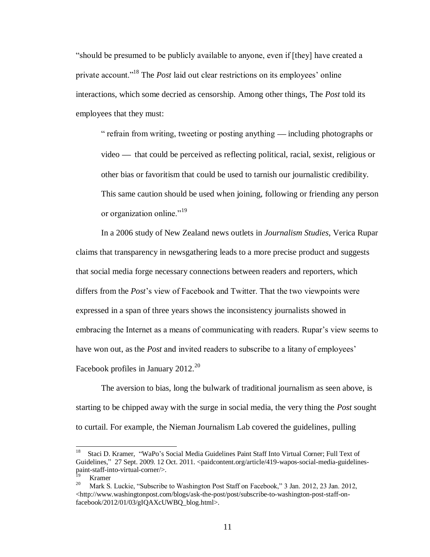"should be presumed to be publicly available to anyone, even if [they] have created a private account."<sup>18</sup> The *Post* laid out clear restrictions on its employees' online interactions, which some decried as censorship. Among other things, The *Post* told its employees that they must:

" refrain from writing, tweeting or posting anything  $-$  including photographs or video — that could be perceived as reflecting political, racial, sexist, religious or other bias or favoritism that could be used to tarnish our journalistic credibility. This same caution should be used when joining, following or friending any person or organization online."<sup>19</sup>

In a 2006 study of New Zealand news outlets in *Journalism Studies*, Verica Rupar claims that transparency in newsgathering leads to a more precise product and suggests that social media forge necessary connections between readers and reporters, which differs from the *Post*'s view of Facebook and Twitter. That the two viewpoints were expressed in a span of three years shows the inconsistency journalists showed in embracing the Internet as a means of communicating with readers. Rupar's view seems to have won out, as the *Post* and invited readers to subscribe to a litany of employees' Facebook profiles in January  $2012^{20}$ 

The aversion to bias, long the bulwark of traditional journalism as seen above, is starting to be chipped away with the surge in social media, the very thing the *Post* sought to curtail. For example, the Nieman Journalism Lab covered the guidelines, pulling

 18 Staci D. Kramer, "WaPo's Social Media Guidelines Paint Staff Into Virtual Corner; Full Text of Guidelines," 27 Sept. 2009. 12 Oct. 2011. <paidcontent.org/article/419-wapos-social-media-guidelinespaint-staff-into-virtual-corner/>.

<sup>19</sup> Kramer

<sup>20</sup> Mark S. Luckie, "Subscribe to Washington Post Staff on Facebook," 3 Jan. 2012, 23 Jan. 2012,  $\langle$ http://www.washingtonpost.com/blogs/ask-the-post/post/subscribe-to-washington-post-staff-onfacebook/2012/01/03/gIQAXcUWBQ\_blog.html>.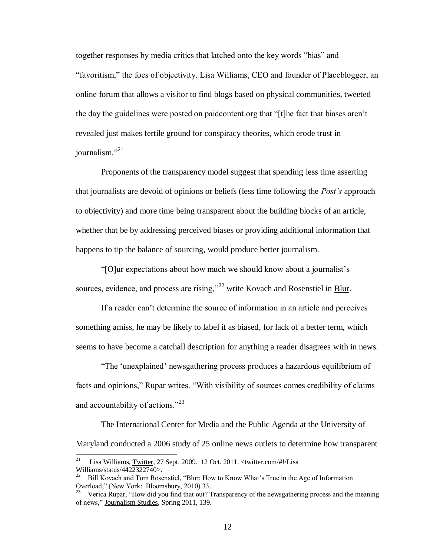together responses by media critics that latched onto the key words "bias" and "favoritism," the foes of objectivity. Lisa Williams, CEO and founder of Placeblogger, an online forum that allows a visitor to find blogs based on physical communities, tweeted the day the guidelines were posted on paidcontent.org that "[t]he fact that biases aren't revealed just makes fertile ground for conspiracy theories, which erode trust in journalism."<sup>21</sup>

Proponents of the transparency model suggest that spending less time asserting that journalists are devoid of opinions or beliefs (less time following the *Post's* approach to objectivity) and more time being transparent about the building blocks of an article, whether that be by addressing perceived biases or providing additional information that happens to tip the balance of sourcing, would produce better journalism.

"[O]ur expectations about how much we should know about a journalist's sources, evidence, and process are rising,"<sup>22</sup> write Kovach and Rosenstiel in <u>Blur</u>.

If a reader can't determine the source of information in an article and perceives something amiss, he may be likely to label it as biased, for lack of a better term, which seems to have become a catchall description for anything a reader disagrees with in news.

"The 'unexplained' newsgathering process produces a hazardous equilibrium of facts and opinions," Rupar writes. "With visibility of sources comes credibility of claims and accountability of actions."<sup>23</sup>

The International Center for Media and the Public Agenda at the University of Maryland conducted a 2006 study of 25 online news outlets to determine how transparent

<sup>21</sup>  Lisa Williams, Twitter, 27 Sept. 2009. 12 Oct. 2011. <twitter.com/#!/Lisa Williams/status/4422322740>.

<sup>22</sup> Bill Kovach and Tom Rosenstiel, "Blur: How to Know What's True in the Age of Information Overload," (New York: Bloomsbury, 2010) 33.

<sup>&</sup>lt;sup>23</sup> Verica Rupar, "How did you find that out? Transparency of the newsgathering process and the meaning of news," Journalism Studies, Spring 2011, 139.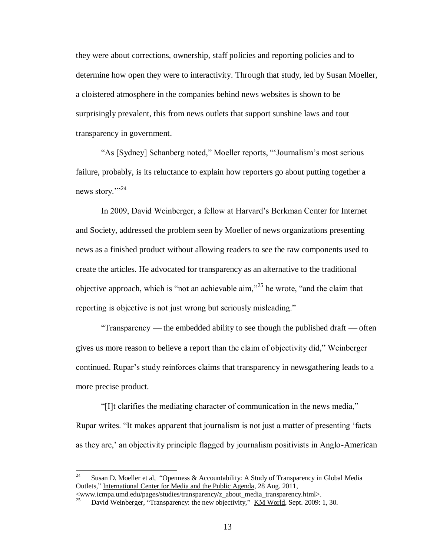they were about corrections, ownership, staff policies and reporting policies and to determine how open they were to interactivity. Through that study, led by Susan Moeller, a cloistered atmosphere in the companies behind news websites is shown to be surprisingly prevalent, this from news outlets that support sunshine laws and tout transparency in government.

"As [Sydney] Schanberg noted," Moeller reports, "'Journalism's most serious failure, probably, is its reluctance to explain how reporters go about putting together a news story."<sup>24</sup>

In 2009, David Weinberger, a fellow at Harvard's Berkman Center for Internet and Society, addressed the problem seen by Moeller of news organizations presenting news as a finished product without allowing readers to see the raw components used to create the articles. He advocated for transparency as an alternative to the traditional objective approach, which is "not an achievable aim,"<sup>25</sup> he wrote, "and the claim that reporting is objective is not just wrong but seriously misleading."

"Transparency — the embedded ability to see though the published draft — often gives us more reason to believe a report than the claim of objectivity did," Weinberger continued. Rupar's study reinforces claims that transparency in newsgathering leads to a more precise product.

"[I]t clarifies the mediating character of communication in the news media," Rupar writes. "It makes apparent that journalism is not just a matter of presenting 'facts as they are,' an objectivity principle flagged by journalism positivists in Anglo-American

 $\frac{1}{24}$  Susan D. Moeller et al, "Openness & Accountability: A Study of Transparency in Global Media Outlets," International Center for Media and the Public Agenda, 28 Aug. 2011,

<sup>&</sup>lt;www.icmpa.umd.edu/pages/studies/transparency/z\_about\_media\_transparency.html>.  $\overrightarrow{25}$ 

David Weinberger, "Transparency: the new objectivity," KM World, Sept. 2009: 1, 30.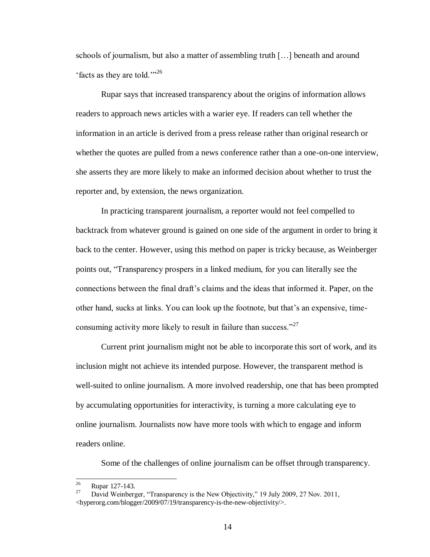schools of journalism, but also a matter of assembling truth […] beneath and around 'facts as they are told."<sup>26</sup>

Rupar says that increased transparency about the origins of information allows readers to approach news articles with a warier eye. If readers can tell whether the information in an article is derived from a press release rather than original research or whether the quotes are pulled from a news conference rather than a one-on-one interview, she asserts they are more likely to make an informed decision about whether to trust the reporter and, by extension, the news organization.

In practicing transparent journalism, a reporter would not feel compelled to backtrack from whatever ground is gained on one side of the argument in order to bring it back to the center. However, using this method on paper is tricky because, as Weinberger points out, "Transparency prospers in a linked medium, for you can literally see the connections between the final draft's claims and the ideas that informed it. Paper, on the other hand, sucks at links. You can look up the footnote, but that's an expensive, timeconsuming activity more likely to result in failure than success."<sup>27</sup>

Current print journalism might not be able to incorporate this sort of work, and its inclusion might not achieve its intended purpose. However, the transparent method is well-suited to online journalism. A more involved readership, one that has been prompted by accumulating opportunities for interactivity, is turning a more calculating eye to online journalism. Journalists now have more tools with which to engage and inform readers online.

Some of the challenges of online journalism can be offset through transparency.

 26 Rupar 127-143.

<sup>27</sup> David Weinberger, "Transparency is the New Objectivity," 19 July 2009, 27 Nov. 2011, <hyperorg.com/blogger/2009/07/19/transparency-is-the-new-objectivity/>.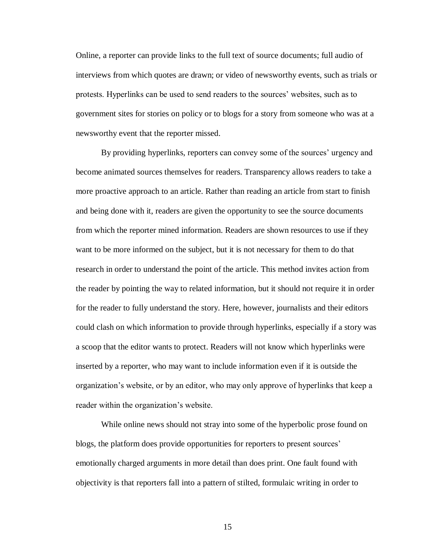Online, a reporter can provide links to the full text of source documents; full audio of interviews from which quotes are drawn; or video of newsworthy events, such as trials or protests. Hyperlinks can be used to send readers to the sources' websites, such as to government sites for stories on policy or to blogs for a story from someone who was at a newsworthy event that the reporter missed.

By providing hyperlinks, reporters can convey some of the sources' urgency and become animated sources themselves for readers. Transparency allows readers to take a more proactive approach to an article. Rather than reading an article from start to finish and being done with it, readers are given the opportunity to see the source documents from which the reporter mined information. Readers are shown resources to use if they want to be more informed on the subject, but it is not necessary for them to do that research in order to understand the point of the article. This method invites action from the reader by pointing the way to related information, but it should not require it in order for the reader to fully understand the story. Here, however, journalists and their editors could clash on which information to provide through hyperlinks, especially if a story was a scoop that the editor wants to protect. Readers will not know which hyperlinks were inserted by a reporter, who may want to include information even if it is outside the organization's website, or by an editor, who may only approve of hyperlinks that keep a reader within the organization's website.

While online news should not stray into some of the hyperbolic prose found on blogs, the platform does provide opportunities for reporters to present sources' emotionally charged arguments in more detail than does print. One fault found with objectivity is that reporters fall into a pattern of stilted, formulaic writing in order to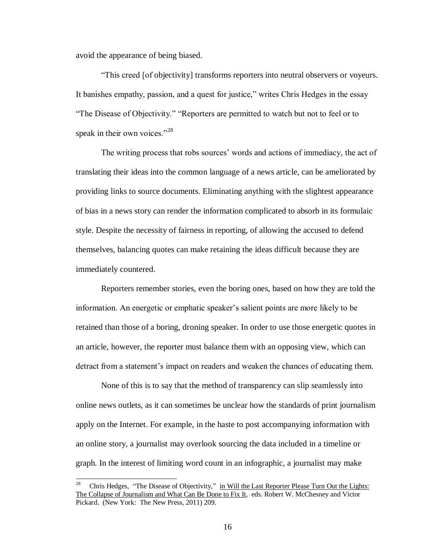avoid the appearance of being biased.

 $\overline{a}$ 

"This creed [of objectivity] transforms reporters into neutral observers or voyeurs. It banishes empathy, passion, and a quest for justice," writes Chris Hedges in the essay "The Disease of Objectivity." "Reporters are permitted to watch but not to feel or to speak in their own voices."<sup>28</sup>

The writing process that robs sources' words and actions of immediacy, the act of translating their ideas into the common language of a news article, can be ameliorated by providing links to source documents. Eliminating anything with the slightest appearance of bias in a news story can render the information complicated to absorb in its formulaic style. Despite the necessity of fairness in reporting, of allowing the accused to defend themselves, balancing quotes can make retaining the ideas difficult because they are immediately countered.

Reporters remember stories, even the boring ones, based on how they are told the information. An energetic or emphatic speaker's salient points are more likely to be retained than those of a boring, droning speaker. In order to use those energetic quotes in an article, however, the reporter must balance them with an opposing view, which can detract from a statement's impact on readers and weaken the chances of educating them.

None of this is to say that the method of transparency can slip seamlessly into online news outlets, as it can sometimes be unclear how the standards of print journalism apply on the Internet. For example, in the haste to post accompanying information with an online story, a journalist may overlook sourcing the data included in a timeline or graph. In the interest of limiting word count in an infographic, a journalist may make

<sup>28</sup> Chris Hedges, "The Disease of Objectivity," in Will the Last Reporter Please Turn Out the Lights: The Collapse of Journalism and What Can Be Done to Fix It, eds. Robert W. McChesney and Victor Pickard. (New York: The New Press, 2011) 209.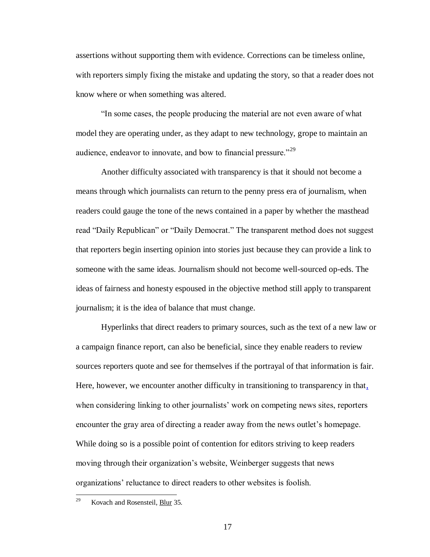assertions without supporting them with evidence. Corrections can be timeless online, with reporters simply fixing the mistake and updating the story, so that a reader does not know where or when something was altered.

"In some cases, the people producing the material are not even aware of what model they are operating under, as they adapt to new technology, grope to maintain an audience, endeavor to innovate, and bow to financial pressure."<sup>29</sup>

Another difficulty associated with transparency is that it should not become a means through which journalists can return to the penny press era of journalism, when readers could gauge the tone of the news contained in a paper by whether the masthead read "Daily Republican" or "Daily Democrat." The transparent method does not suggest that reporters begin inserting opinion into stories just because they can provide a link to someone with the same ideas. Journalism should not become well-sourced op-eds. The ideas of fairness and honesty espoused in the objective method still apply to transparent journalism; it is the idea of balance that must change.

Hyperlinks that direct readers to primary sources, such as the text of a new law or a campaign finance report, can also be beneficial, since they enable readers to review sources reporters quote and see for themselves if the portrayal of that information is fair. Here, however, we encounter another difficulty in transitioning to transparency in that, when considering linking to other journalists' work on competing news sites, reporters encounter the gray area of directing a reader away from the news outlet's homepage. While doing so is a possible point of contention for editors striving to keep readers moving through their organization's website, Weinberger suggests that news organizations' reluctance to direct readers to other websites is foolish.

<sup>29</sup> Kovach and Rosensteil, Blur 35.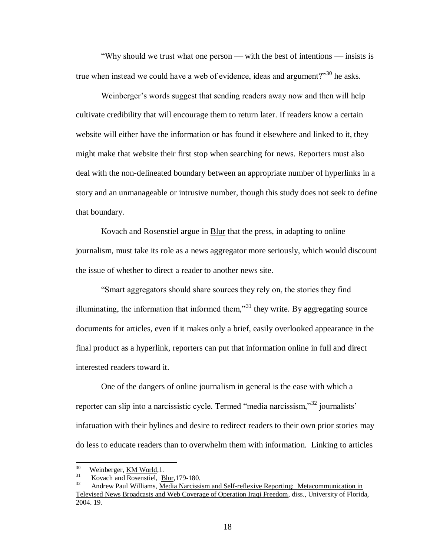"Why should we trust what one person — with the best of intentions — insists is true when instead we could have a web of evidence, ideas and argument?"<sup>30</sup> he asks.

Weinberger's words suggest that sending readers away now and then will help cultivate credibility that will encourage them to return later. If readers know a certain website will either have the information or has found it elsewhere and linked to it, they might make that website their first stop when searching for news. Reporters must also deal with the non-delineated boundary between an appropriate number of hyperlinks in a story and an unmanageable or intrusive number, though this study does not seek to define that boundary.

Kovach and Rosenstiel argue in **Blur** that the press, in adapting to online journalism, must take its role as a news aggregator more seriously, which would discount the issue of whether to direct a reader to another news site.

"Smart aggregators should share sources they rely on, the stories they find illuminating, the information that informed them," $31$  they write. By aggregating source documents for articles, even if it makes only a brief, easily overlooked appearance in the final product as a hyperlink, reporters can put that information online in full and direct interested readers toward it.

One of the dangers of online journalism in general is the ease with which a reporter can slip into a narcissistic cycle. Termed "media narcissism,"<sup>32</sup> journalists' infatuation with their bylines and desire to redirect readers to their own prior stories may do less to educate readers than to overwhelm them with information. Linking to articles

 $\frac{1}{30}$ Weinberger, KM World,1.

<sup>31</sup> Kovach and Rosenstiel, Blur,179-180.

<sup>32</sup> Andrew Paul Williams, Media Narcissism and Self-reflexive Reporting: Metacommunication in Televised News Broadcasts and Web Coverage of Operation Iraqi Freedom, diss., University of Florida, 2004. 19.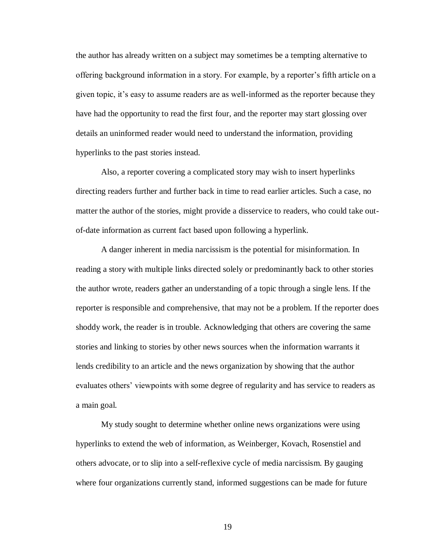the author has already written on a subject may sometimes be a tempting alternative to offering background information in a story. For example, by a reporter's fifth article on a given topic, it's easy to assume readers are as well-informed as the reporter because they have had the opportunity to read the first four, and the reporter may start glossing over details an uninformed reader would need to understand the information, providing hyperlinks to the past stories instead.

Also, a reporter covering a complicated story may wish to insert hyperlinks directing readers further and further back in time to read earlier articles. Such a case, no matter the author of the stories, might provide a disservice to readers, who could take outof-date information as current fact based upon following a hyperlink.

A danger inherent in media narcissism is the potential for misinformation. In reading a story with multiple links directed solely or predominantly back to other stories the author wrote, readers gather an understanding of a topic through a single lens. If the reporter is responsible and comprehensive, that may not be a problem. If the reporter does shoddy work, the reader is in trouble. Acknowledging that others are covering the same stories and linking to stories by other news sources when the information warrants it lends credibility to an article and the news organization by showing that the author evaluates others' viewpoints with some degree of regularity and has service to readers as a main goal.

My study sought to determine whether online news organizations were using hyperlinks to extend the web of information, as Weinberger, Kovach, Rosenstiel and others advocate, or to slip into a self-reflexive cycle of media narcissism. By gauging where four organizations currently stand, informed suggestions can be made for future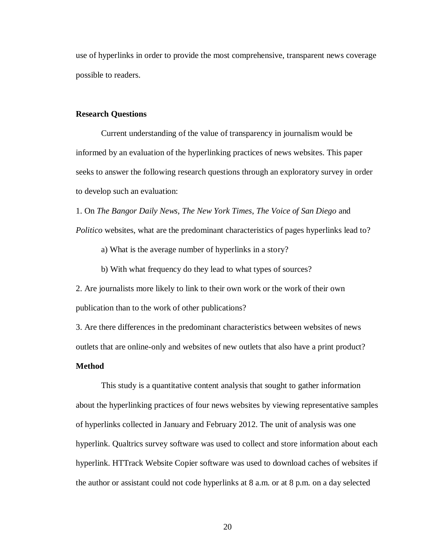use of hyperlinks in order to provide the most comprehensive, transparent news coverage possible to readers.

#### **Research Questions**

Current understanding of the value of transparency in journalism would be informed by an evaluation of the hyperlinking practices of news websites. This paper seeks to answer the following research questions through an exploratory survey in order to develop such an evaluation:

1. On *The Bangor Daily News*, *The New York Times*, *The Voice of San Diego* and *Politico* websites, what are the predominant characteristics of pages hyperlinks lead to?

a) What is the average number of hyperlinks in a story?

b) With what frequency do they lead to what types of sources?

2. Are journalists more likely to link to their own work or the work of their own publication than to the work of other publications?

3. Are there differences in the predominant characteristics between websites of news

outlets that are online-only and websites of new outlets that also have a print product?

#### **Method**

This study is a quantitative content analysis that sought to gather information about the hyperlinking practices of four news websites by viewing representative samples of hyperlinks collected in January and February 2012. The unit of analysis was one hyperlink. Qualtrics survey software was used to collect and store information about each hyperlink. HTTrack Website Copier software was used to download caches of websites if the author or assistant could not code hyperlinks at 8 a.m. or at 8 p.m. on a day selected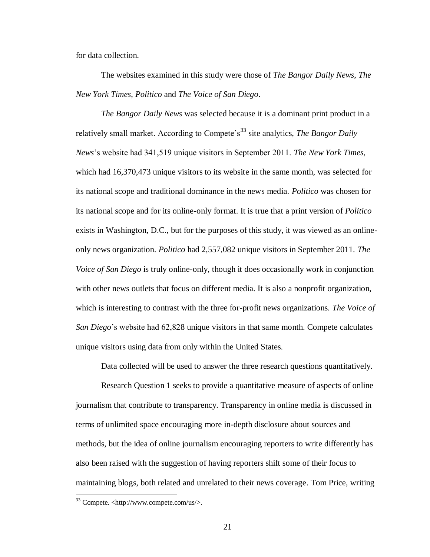for data collection.

The websites examined in this study were those of *The Bangor Daily News*, *The New York Times*, *Politico* and *The Voice of San Diego*.

*The Bangor Daily News* was selected because it is a dominant print product in a relatively small market. According to Compete's<sup>33</sup> site analytics, *The Bangor Daily News*'s website had 341,519 unique visitors in September 2011. *The New York Times*, which had 16,370,473 unique visitors to its website in the same month, was selected for its national scope and traditional dominance in the news media. *Politico* was chosen for its national scope and for its online-only format. It is true that a print version of *Politico*  exists in Washington, D.C., but for the purposes of this study, it was viewed as an onlineonly news organization. *Politico* had 2,557,082 unique visitors in September 2011. *The Voice of San Diego* is truly online-only, though it does occasionally work in conjunction with other news outlets that focus on different media. It is also a nonprofit organization, which is interesting to contrast with the three for-profit news organizations. *The Voice of San Diego*'s website had 62,828 unique visitors in that same month. Compete calculates unique visitors using data from only within the United States.

Data collected will be used to answer the three research questions quantitatively.

Research Question 1 seeks to provide a quantitative measure of aspects of online journalism that contribute to transparency. Transparency in online media is discussed in terms of unlimited space encouraging more in-depth disclosure about sources and methods, but the idea of online journalism encouraging reporters to write differently has also been raised with the suggestion of having reporters shift some of their focus to maintaining blogs, both related and unrelated to their news coverage. Tom Price, writing

 $\overline{a}$ 

<sup>33</sup> Compete. <http://www.compete.com/us/>.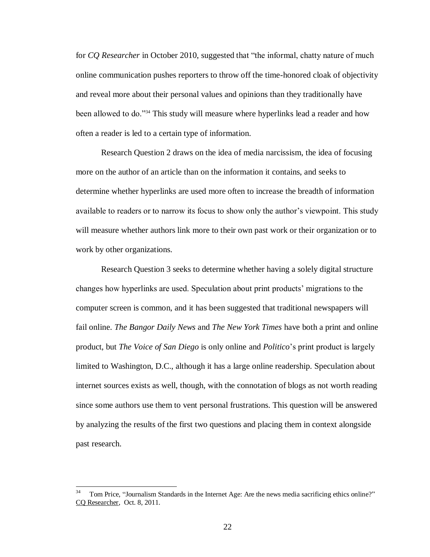for *CQ Researcher* in October 2010, suggested that "the informal, chatty nature of much online communication pushes reporters to throw off the time-honored cloak of objectivity and reveal more about their personal values and opinions than they traditionally have been allowed to do."<sup>34</sup> This study will measure where hyperlinks lead a reader and how often a reader is led to a certain type of information.

Research Question 2 draws on the idea of media narcissism, the idea of focusing more on the author of an article than on the information it contains, and seeks to determine whether hyperlinks are used more often to increase the breadth of information available to readers or to narrow its focus to show only the author's viewpoint. This study will measure whether authors link more to their own past work or their organization or to work by other organizations.

Research Question 3 seeks to determine whether having a solely digital structure changes how hyperlinks are used. Speculation about print products' migrations to the computer screen is common, and it has been suggested that traditional newspapers will fail online. *The Bangor Daily News* and *The New York Times* have both a print and online product, but *The Voice of San Diego* is only online and *Politico*'s print product is largely limited to Washington, D.C., although it has a large online readership. Speculation about internet sources exists as well, though, with the connotation of blogs as not worth reading since some authors use them to vent personal frustrations. This question will be answered by analyzing the results of the first two questions and placing them in context alongside past research.

 $\overline{a}$ 

<sup>34</sup> Tom Price, "Journalism Standards in the Internet Age: Are the news media sacrificing ethics online?" CQ Researcher, Oct. 8, 2011.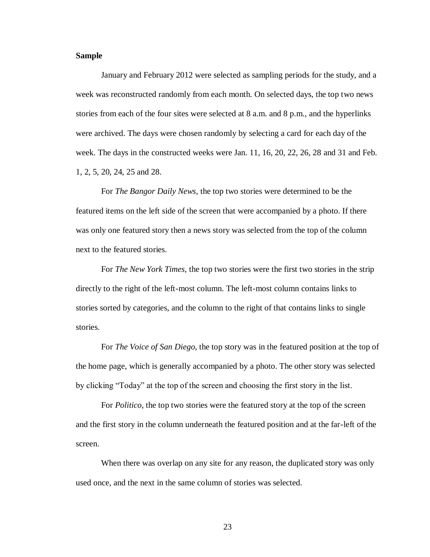#### **Sample**

January and February 2012 were selected as sampling periods for the study, and a week was reconstructed randomly from each month. On selected days, the top two news stories from each of the four sites were selected at 8 a.m. and 8 p.m., and the hyperlinks were archived. The days were chosen randomly by selecting a card for each day of the week. The days in the constructed weeks were Jan. 11, 16, 20, 22, 26, 28 and 31 and Feb. 1, 2, 5, 20, 24, 25 and 28.

For *The Bangor Daily News*, the top two stories were determined to be the featured items on the left side of the screen that were accompanied by a photo. If there was only one featured story then a news story was selected from the top of the column next to the featured stories.

For *The New York Times*, the top two stories were the first two stories in the strip directly to the right of the left-most column. The left-most column contains links to stories sorted by categories, and the column to the right of that contains links to single stories.

For *The Voice of San Diego*, the top story was in the featured position at the top of the home page, which is generally accompanied by a photo. The other story was selected by clicking "Today" at the top of the screen and choosing the first story in the list.

For *Politico*, the top two stories were the featured story at the top of the screen and the first story in the column underneath the featured position and at the far-left of the screen.

When there was overlap on any site for any reason, the duplicated story was only used once, and the next in the same column of stories was selected.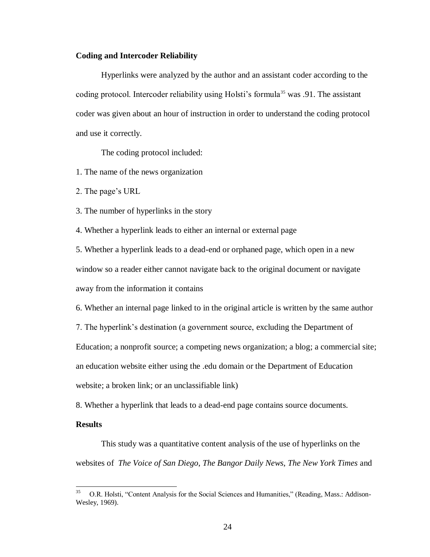#### **Coding and Intercoder Reliability**

Hyperlinks were analyzed by the author and an assistant coder according to the coding protocol. Intercoder reliability using Holsti's formula<sup>35</sup> was .91. The assistant coder was given about an hour of instruction in order to understand the coding protocol and use it correctly.

The coding protocol included:

1. The name of the news organization

2. The page's URL

3. The number of hyperlinks in the story

4. Whether a hyperlink leads to either an internal or external page

5. Whether a hyperlink leads to a dead-end or orphaned page, which open in a new window so a reader either cannot navigate back to the original document or navigate away from the information it contains

6. Whether an internal page linked to in the original article is written by the same author

7. The hyperlink's destination (a government source, excluding the Department of

Education; a nonprofit source; a competing news organization; a blog; a commercial site;

an education website either using the .edu domain or the Department of Education

website; a broken link; or an unclassifiable link)

8. Whether a hyperlink that leads to a dead-end page contains source documents.

#### **Results**

 $\overline{a}$ 

This study was a quantitative content analysis of the use of hyperlinks on the websites of *The Voice of San Diego*, *The Bangor Daily News*, *The New York Times* and

<sup>35</sup> O.R. Holsti, "Content Analysis for the Social Sciences and Humanities," (Reading, Mass.: Addison-Wesley, 1969).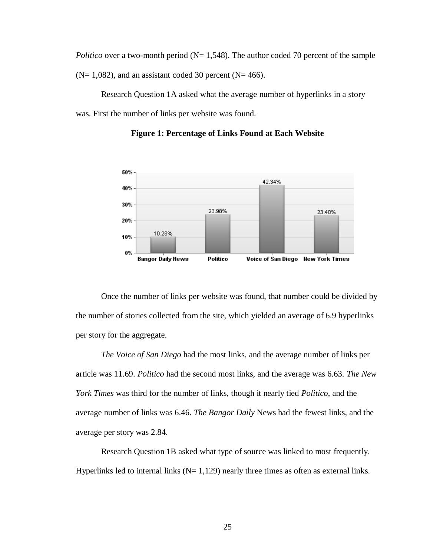*Politico* over a two-month period ( $N= 1,548$ ). The author coded 70 percent of the sample  $(N= 1,082)$ , and an assistant coded 30 percent  $(N= 466)$ .

Research Question 1A asked what the average number of hyperlinks in a story was. First the number of links per website was found.



**Figure 1: Percentage of Links Found at Each Website**

Once the number of links per website was found, that number could be divided by the number of stories collected from the site, which yielded an average of 6.9 hyperlinks per story for the aggregate.

*The Voice of San Diego* had the most links, and the average number of links per article was 11.69. *Politico* had the second most links, and the average was 6.63. *The New York Times* was third for the number of links, though it nearly tied *Politico*, and the average number of links was 6.46. *The Bangor Daily* News had the fewest links, and the average per story was 2.84.

Research Question 1B asked what type of source was linked to most frequently. Hyperlinks led to internal links  $(N= 1,129)$  nearly three times as often as external links.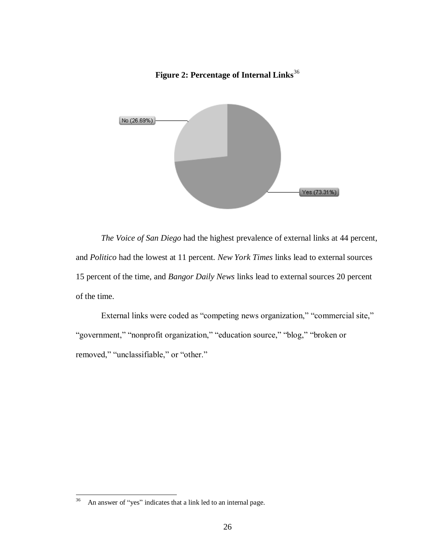



*The Voice of San Diego* had the highest prevalence of external links at 44 percent, and *Politico* had the lowest at 11 percent. *New York Times* links lead to external sources 15 percent of the time, and *Bangor Daily News* links lead to external sources 20 percent of the time.

External links were coded as "competing news organization," "commercial site," "government," "nonprofit organization," "education source," "blog," "broken or removed," "unclassifiable," or "other."

 36 An answer of "yes" indicates that a link led to an internal page.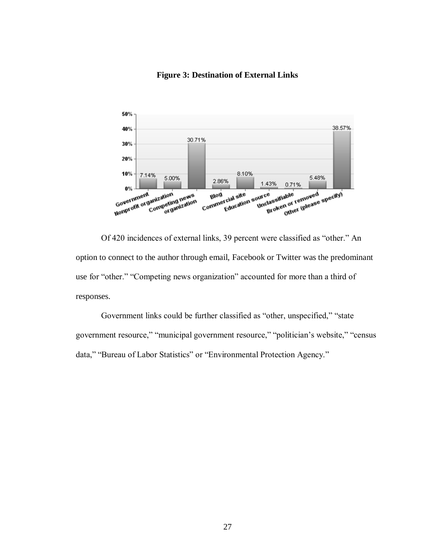# **Figure 3: Destination of External Links**



Of 420 incidences of external links, 39 percent were classified as "other." An option to connect to the author through email, Facebook or Twitter was the predominant use for "other." "Competing news organization" accounted for more than a third of responses.

Government links could be further classified as "other, unspecified," "state government resource," "municipal government resource," "politician's website," "census data," "Bureau of Labor Statistics" or "Environmental Protection Agency."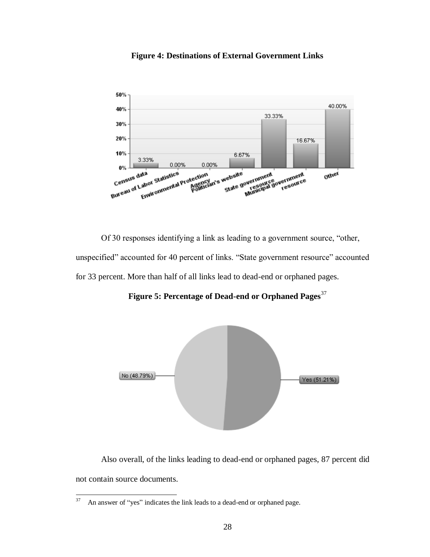

**Figure 4: Destinations of External Government Links**

Of 30 responses identifying a link as leading to a government source, "other, unspecified" accounted for 40 percent of links. "State government resource" accounted for 33 percent. More than half of all links lead to dead-end or orphaned pages.

**Figure 5: Percentage of Dead-end or Orphaned Pages**<sup>37</sup>



Also overall, of the links leading to dead-end or orphaned pages, 87 percent did not contain source documents.

<sup>&</sup>lt;sup>37</sup> An answer of "yes" indicates the link leads to a dead-end or orphaned page.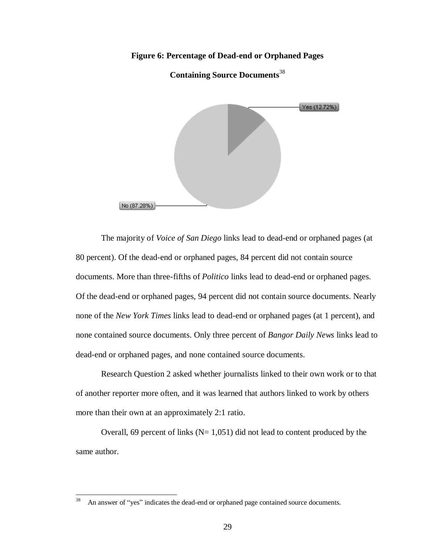#### **Figure 6: Percentage of Dead-end or Orphaned Pages**



**Containing Source Documents**<sup>38</sup>

The majority of *Voice of San Diego* links lead to dead-end or orphaned pages (at 80 percent). Of the dead-end or orphaned pages, 84 percent did not contain source documents. More than three-fifths of *Politico* links lead to dead-end or orphaned pages. Of the dead-end or orphaned pages, 94 percent did not contain source documents. Nearly none of the *New York Times* links lead to dead-end or orphaned pages (at 1 percent), and none contained source documents. Only three percent of *Bangor Daily News* links lead to dead-end or orphaned pages, and none contained source documents.

Research Question 2 asked whether journalists linked to their own work or to that of another reporter more often, and it was learned that authors linked to work by others more than their own at an approximately 2:1 ratio.

Overall, 69 percent of links  $(N= 1,051)$  did not lead to content produced by the same author.

 38 An answer of "yes" indicates the dead-end or orphaned page contained source documents.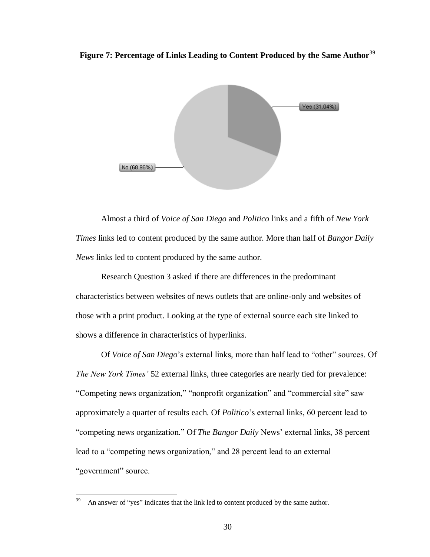

Figure 7: Percentage of Links Leading to Content Produced by the Same Author<sup>39</sup>

Almost a third of *Voice of San Diego* and *Politico* links and a fifth of *New York Times* links led to content produced by the same author. More than half of *Bangor Daily News* links led to content produced by the same author.

Research Question 3 asked if there are differences in the predominant characteristics between websites of news outlets that are online-only and websites of those with a print product. Looking at the type of external source each site linked to shows a difference in characteristics of hyperlinks.

Of *Voice of San Diego*'s external links, more than half lead to "other" sources. Of *The New York Times'* 52 external links, three categories are nearly tied for prevalence: "Competing news organization," "nonprofit organization" and "commercial site" saw approximately a quarter of results each. Of *Politico*'s external links, 60 percent lead to "competing news organization." Of *The Bangor Daily* News' external links, 38 percent lead to a "competing news organization," and 28 percent lead to an external "government" source.

<sup>39</sup> An answer of "yes" indicates that the link led to content produced by the same author.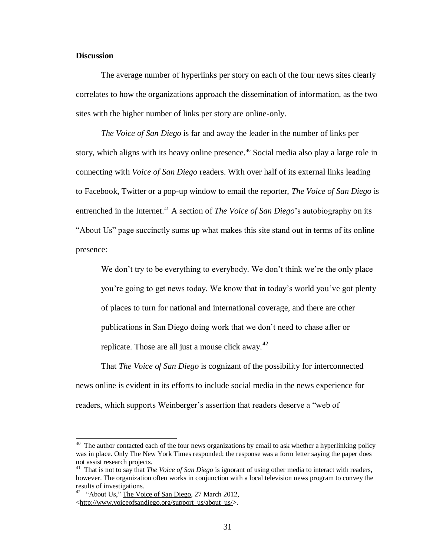### **Discussion**

The average number of hyperlinks per story on each of the four news sites clearly correlates to how the organizations approach the dissemination of information, as the two sites with the higher number of links per story are online-only.

*The Voice of San Diego* is far and away the leader in the number of links per story, which aligns with its heavy online presence.<sup>40</sup> Social media also play a large role in connecting with *Voice of San Diego* readers. With over half of its external links leading to Facebook, Twitter or a pop-up window to email the reporter, *The Voice of San Diego* is entrenched in the Internet.<sup>41</sup> A section of *The Voice of San Diego*'s autobiography on its "About Us" page succinctly sums up what makes this site stand out in terms of its online presence:

We don't try to be everything to everybody. We don't think we're the only place you're going to get news today. We know that in today's world you've got plenty of places to turn for national and international coverage, and there are other publications in San Diego doing work that we don't need to chase after or replicate. Those are all just a mouse click away. $42$ 

That *The Voice of San Diego* is cognizant of the possibility for interconnected news online is evident in its efforts to include social media in the news experience for readers, which supports Weinberger's assertion that readers deserve a "web of

 $\overline{a}$ 

The author contacted each of the four news organizations by email to ask whether a hyperlinking policy was in place. Only The New York Times responded; the response was a form letter saying the paper does not assist research projects.

<sup>&</sup>lt;sup>41</sup> That is not to say that *The Voice of San Diego* is ignorant of using other media to interact with readers, however. The organization often works in conjunction with a local television news program to convey the results of investigations.

<sup>&</sup>lt;sup>42</sup> "About Us," The Voice of San Diego, 27 March 2012,

[<sup>&</sup>lt;http://www.voiceofsandiego.org/support\\_us/about\\_us/>](http://www.voiceofsandiego.org/support_us/about_us/).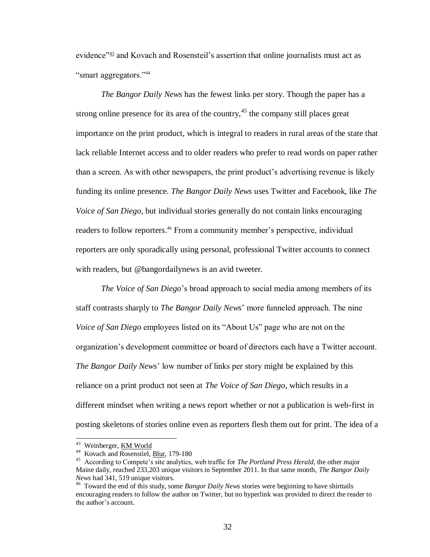evidence"<sup>43</sup> and Kovach and Rosensteil's assertion that online journalists must act as "smart aggregators."<sup>44</sup>

*The Bangor Daily News* has the fewest links per story. Though the paper has a strong online presence for its area of the country,  $45$  the company still places great importance on the print product, which is integral to readers in rural areas of the state that lack reliable Internet access and to older readers who prefer to read words on paper rather than a screen. As with other newspapers, the print product's advertising revenue is likely funding its online presence. *The Bangor Daily News* uses Twitter and Facebook, like *The Voice of San Diego*, but individual stories generally do not contain links encouraging readers to follow reporters.<sup>46</sup> From a community member's perspective, individual reporters are only sporadically using personal, professional Twitter accounts to connect with readers, but @bangordailynews is an avid tweeter.

*The Voice of San Diego*'s broad approach to social media among members of its staff contrasts sharply to *The Bangor Daily News*' more funneled approach. The nine *Voice of San Diego* employees listed on its "About Us" page who are not on the organization's development committee or board of directors each have a Twitter account. *The Bangor Daily News*' low number of links per story might be explained by this reliance on a print product not seen at *The Voice of San Diego*, which results in a different mindset when writing a news report whether or not a publication is web-first in posting skeletons of stories online even as reporters flesh them out for print. The idea of a

 $\overline{a}$ 

<sup>&</sup>lt;sup>43</sup> Weinberger, **KM World** 

<sup>&</sup>lt;sup>44</sup> Kovach and Rosenstiel, **Blur**, 179-180

<sup>45</sup> According to Compete's site analytics, web traffic for *The Portland Press Herald*, the other major Maine daily, reached 233,203 unique visitors in September 2011. In that same month, *The Bangor Daily News* had 341, 519 unique visitors.

<sup>46</sup> Toward the end of this study, some *Bangor Daily News* stories were beginning to have shirttails encouraging readers to follow the author on Twitter, but no hyperlink was provided to direct the reader to the author's account.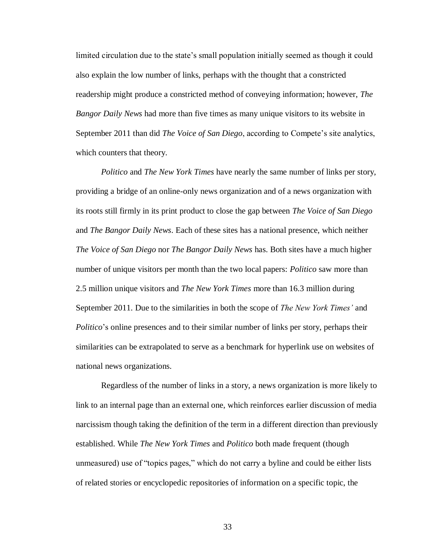limited circulation due to the state's small population initially seemed as though it could also explain the low number of links, perhaps with the thought that a constricted readership might produce a constricted method of conveying information; however, *The Bangor Daily News* had more than five times as many unique visitors to its website in September 2011 than did *The Voice of San Diego*, according to Compete's site analytics, which counters that theory.

*Politico* and *The New York Times* have nearly the same number of links per story, providing a bridge of an online-only news organization and of a news organization with its roots still firmly in its print product to close the gap between *The Voice of San Diego* and *The Bangor Daily News*. Each of these sites has a national presence, which neither *The Voice of San Diego* nor *The Bangor Daily News* has. Both sites have a much higher number of unique visitors per month than the two local papers: *Politico* saw more than 2.5 million unique visitors and *The New York Times* more than 16.3 million during September 2011. Due to the similarities in both the scope of *The New York Times'* and *Politico*'s online presences and to their similar number of links per story, perhaps their similarities can be extrapolated to serve as a benchmark for hyperlink use on websites of national news organizations.

Regardless of the number of links in a story, a news organization is more likely to link to an internal page than an external one, which reinforces earlier discussion of media narcissism though taking the definition of the term in a different direction than previously established. While *The New York Times* and *Politico* both made frequent (though unmeasured) use of "topics pages," which do not carry a byline and could be either lists of related stories or encyclopedic repositories of information on a specific topic, the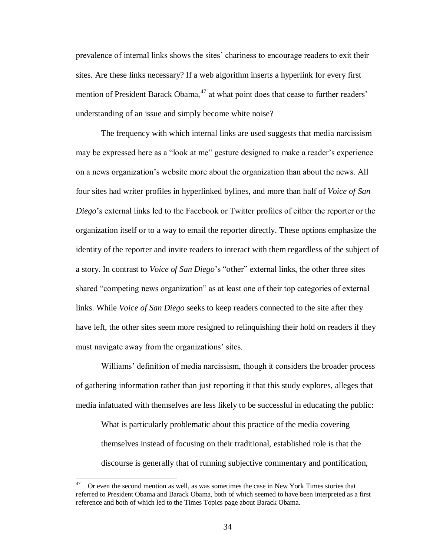prevalence of internal links shows the sites' chariness to encourage readers to exit their sites. Are these links necessary? If a web algorithm inserts a hyperlink for every first mention of President Barack Obama,<sup>47</sup> at what point does that cease to further readers' understanding of an issue and simply become white noise?

The frequency with which internal links are used suggests that media narcissism may be expressed here as a "look at me" gesture designed to make a reader's experience on a news organization's website more about the organization than about the news. All four sites had writer profiles in hyperlinked bylines, and more than half of *Voice of San Diego*'s external links led to the Facebook or Twitter profiles of either the reporter or the organization itself or to a way to email the reporter directly. These options emphasize the identity of the reporter and invite readers to interact with them regardless of the subject of a story. In contrast to *Voice of San Diego*'s "other" external links, the other three sites shared "competing news organization" as at least one of their top categories of external links. While *Voice of San Diego* seeks to keep readers connected to the site after they have left, the other sites seem more resigned to relinquishing their hold on readers if they must navigate away from the organizations' sites.

Williams' definition of media narcissism, though it considers the broader process of gathering information rather than just reporting it that this study explores, alleges that media infatuated with themselves are less likely to be successful in educating the public:

What is particularly problematic about this practice of the media covering themselves instead of focusing on their traditional, established role is that the discourse is generally that of running subjective commentary and pontification,

 47 Or even the second mention as well, as was sometimes the case in New York Times stories that referred to President Obama and Barack Obama, both of which seemed to have been interpreted as a first reference and both of which led to the Times Topics page about Barack Obama.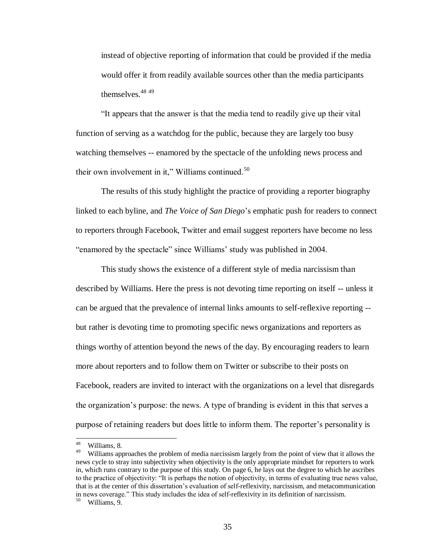instead of objective reporting of information that could be provided if the media would offer it from readily available sources other than the media participants themselves.<sup>48</sup> <sup>49</sup>

"It appears that the answer is that the media tend to readily give up their vital function of serving as a watchdog for the public, because they are largely too busy watching themselves -- enamored by the spectacle of the unfolding news process and their own involvement in it," Williams continued. $50$ 

The results of this study highlight the practice of providing a reporter biography linked to each byline, and *The Voice of San Diego*'s emphatic push for readers to connect to reporters through Facebook, Twitter and email suggest reporters have become no less "enamored by the spectacle" since Williams' study was published in 2004.

This study shows the existence of a different style of media narcissism than described by Williams. Here the press is not devoting time reporting on itself -- unless it can be argued that the prevalence of internal links amounts to self-reflexive reporting - but rather is devoting time to promoting specific news organizations and reporters as things worthy of attention beyond the news of the day. By encouraging readers to learn more about reporters and to follow them on Twitter or subscribe to their posts on Facebook, readers are invited to interact with the organizations on a level that disregards the organization's purpose: the news. A type of branding is evident in this that serves a purpose of retaining readers but does little to inform them. The reporter's personality is

 48 Williams, 8.

<sup>49</sup> Williams approaches the problem of media narcissism largely from the point of view that it allows the news cycle to stray into subjectivity when objectivity is the only appropriate mindset for reporters to work in, which runs contrary to the purpose of this study. On page 6, he lays out the degree to which he ascribes to the practice of objectivity: "It is perhaps the notion of objectivity, in terms of evaluating true news value, that is at the center of this dissertation's evaluation of self-reflexivity, narcissism, and metacommunication in news coverage." This study includes the idea of self-reflexivity in its definition of narcissism. 50 Williams, 9.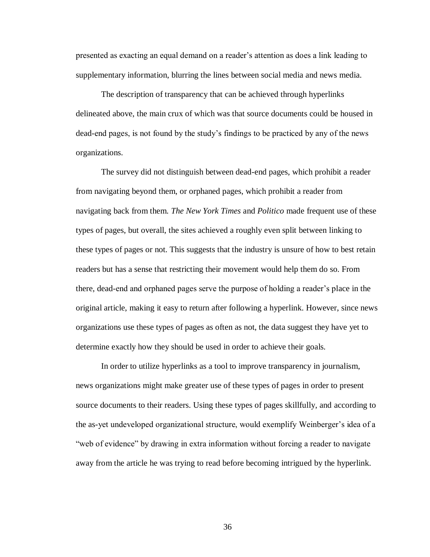presented as exacting an equal demand on a reader's attention as does a link leading to supplementary information, blurring the lines between social media and news media.

The description of transparency that can be achieved through hyperlinks delineated above, the main crux of which was that source documents could be housed in dead-end pages, is not found by the study's findings to be practiced by any of the news organizations.

The survey did not distinguish between dead-end pages, which prohibit a reader from navigating beyond them, or orphaned pages, which prohibit a reader from navigating back from them. *The New York Times* and *Politico* made frequent use of these types of pages, but overall, the sites achieved a roughly even split between linking to these types of pages or not. This suggests that the industry is unsure of how to best retain readers but has a sense that restricting their movement would help them do so. From there, dead-end and orphaned pages serve the purpose of holding a reader's place in the original article, making it easy to return after following a hyperlink. However, since news organizations use these types of pages as often as not, the data suggest they have yet to determine exactly how they should be used in order to achieve their goals.

In order to utilize hyperlinks as a tool to improve transparency in journalism, news organizations might make greater use of these types of pages in order to present source documents to their readers. Using these types of pages skillfully, and according to the as-yet undeveloped organizational structure, would exemplify Weinberger's idea of a "web of evidence" by drawing in extra information without forcing a reader to navigate away from the article he was trying to read before becoming intrigued by the hyperlink.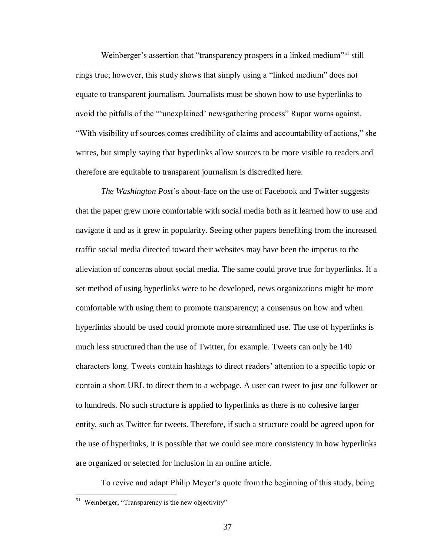Weinberger's assertion that "transparency prospers in a linked medium"<sup>51</sup> still rings true; however, this study shows that simply using a "linked medium" does not equate to transparent journalism. Journalists must be shown how to use hyperlinks to avoid the pitfalls of the "'unexplained' newsgathering process" Rupar warns against. "With visibility of sources comes credibility of claims and accountability of actions," she writes, but simply saying that hyperlinks allow sources to be more visible to readers and therefore are equitable to transparent journalism is discredited here.

*The Washington Post*'s about-face on the use of Facebook and Twitter suggests that the paper grew more comfortable with social media both as it learned how to use and navigate it and as it grew in popularity. Seeing other papers benefiting from the increased traffic social media directed toward their websites may have been the impetus to the alleviation of concerns about social media. The same could prove true for hyperlinks. If a set method of using hyperlinks were to be developed, news organizations might be more comfortable with using them to promote transparency; a consensus on how and when hyperlinks should be used could promote more streamlined use. The use of hyperlinks is much less structured than the use of Twitter, for example. Tweets can only be 140 characters long. Tweets contain hashtags to direct readers' attention to a specific topic or contain a short URL to direct them to a webpage. A user can tweet to just one follower or to hundreds. No such structure is applied to hyperlinks as there is no cohesive larger entity, such as Twitter for tweets. Therefore, if such a structure could be agreed upon for the use of hyperlinks, it is possible that we could see more consistency in how hyperlinks are organized or selected for inclusion in an online article.

To revive and adapt Philip Meyer's quote from the beginning of this study, being

 $\overline{a}$ 

 $51$  Weinberger, "Transparency is the new objectivity"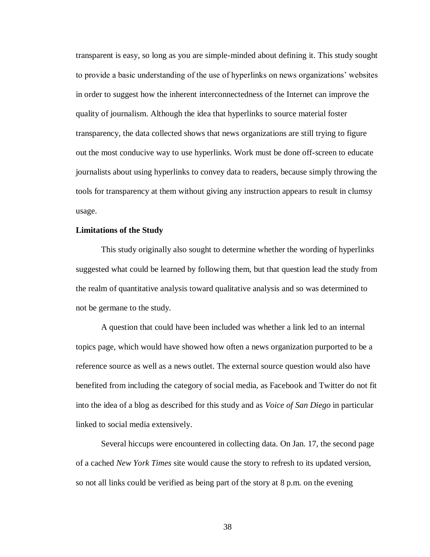transparent is easy, so long as you are simple-minded about defining it. This study sought to provide a basic understanding of the use of hyperlinks on news organizations' websites in order to suggest how the inherent interconnectedness of the Internet can improve the quality of journalism. Although the idea that hyperlinks to source material foster transparency, the data collected shows that news organizations are still trying to figure out the most conducive way to use hyperlinks. Work must be done off-screen to educate journalists about using hyperlinks to convey data to readers, because simply throwing the tools for transparency at them without giving any instruction appears to result in clumsy usage.

#### **Limitations of the Study**

This study originally also sought to determine whether the wording of hyperlinks suggested what could be learned by following them, but that question lead the study from the realm of quantitative analysis toward qualitative analysis and so was determined to not be germane to the study.

A question that could have been included was whether a link led to an internal topics page, which would have showed how often a news organization purported to be a reference source as well as a news outlet. The external source question would also have benefited from including the category of social media, as Facebook and Twitter do not fit into the idea of a blog as described for this study and as *Voice of San Diego* in particular linked to social media extensively.

Several hiccups were encountered in collecting data. On Jan. 17, the second page of a cached *New York Times* site would cause the story to refresh to its updated version, so not all links could be verified as being part of the story at 8 p.m. on the evening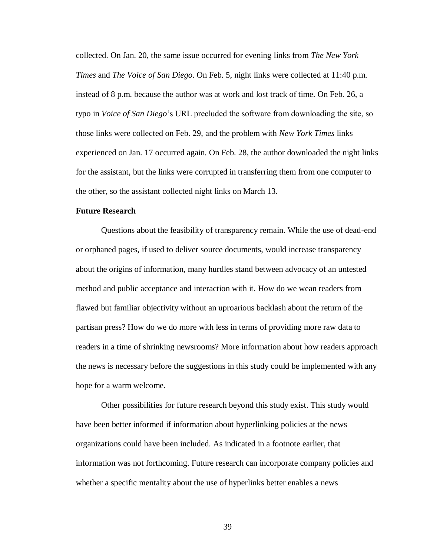collected. On Jan. 20, the same issue occurred for evening links from *The New York Times* and *The Voice of San Diego*. On Feb. 5, night links were collected at 11:40 p.m. instead of 8 p.m. because the author was at work and lost track of time. On Feb. 26, a typo in *Voice of San Diego*'s URL precluded the software from downloading the site, so those links were collected on Feb. 29, and the problem with *New York Times* links experienced on Jan. 17 occurred again. On Feb. 28, the author downloaded the night links for the assistant, but the links were corrupted in transferring them from one computer to the other, so the assistant collected night links on March 13.

#### **Future Research**

Questions about the feasibility of transparency remain. While the use of dead-end or orphaned pages, if used to deliver source documents, would increase transparency about the origins of information, many hurdles stand between advocacy of an untested method and public acceptance and interaction with it. How do we wean readers from flawed but familiar objectivity without an uproarious backlash about the return of the partisan press? How do we do more with less in terms of providing more raw data to readers in a time of shrinking newsrooms? More information about how readers approach the news is necessary before the suggestions in this study could be implemented with any hope for a warm welcome.

Other possibilities for future research beyond this study exist. This study would have been better informed if information about hyperlinking policies at the news organizations could have been included. As indicated in a footnote earlier, that information was not forthcoming. Future research can incorporate company policies and whether a specific mentality about the use of hyperlinks better enables a news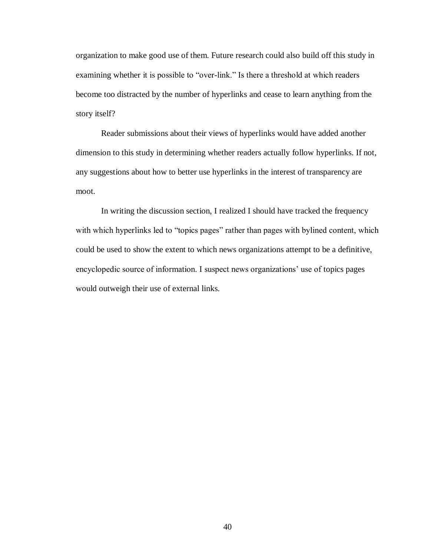organization to make good use of them. Future research could also build off this study in examining whether it is possible to "over-link." Is there a threshold at which readers become too distracted by the number of hyperlinks and cease to learn anything from the story itself?

Reader submissions about their views of hyperlinks would have added another dimension to this study in determining whether readers actually follow hyperlinks. If not, any suggestions about how to better use hyperlinks in the interest of transparency are moot.

In writing the discussion section, I realized I should have tracked the frequency with which hyperlinks led to "topics pages" rather than pages with bylined content, which could be used to show the extent to which news organizations attempt to be a definitive, encyclopedic source of information. I suspect news organizations' use of topics pages would outweigh their use of external links.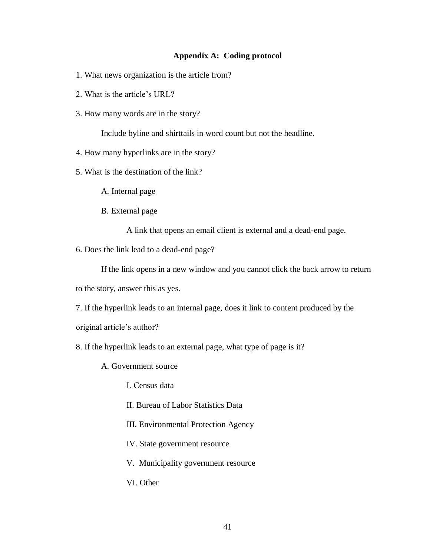### **Appendix A: Coding protocol**

- 1. What news organization is the article from?
- 2. What is the article's URL?
- 3. How many words are in the story?

Include byline and shirttails in word count but not the headline.

- 4. How many hyperlinks are in the story?
- 5. What is the destination of the link?

A. Internal page

B. External page

A link that opens an email client is external and a dead-end page.

6. Does the link lead to a dead-end page?

If the link opens in a new window and you cannot click the back arrow to return

to the story, answer this as yes.

7. If the hyperlink leads to an internal page, does it link to content produced by the

original article's author?

8. If the hyperlink leads to an external page, what type of page is it?

A. Government source

I. Census data

II. Bureau of Labor Statistics Data

III. Environmental Protection Agency

IV. State government resource

V. Municipality government resource

VI. Other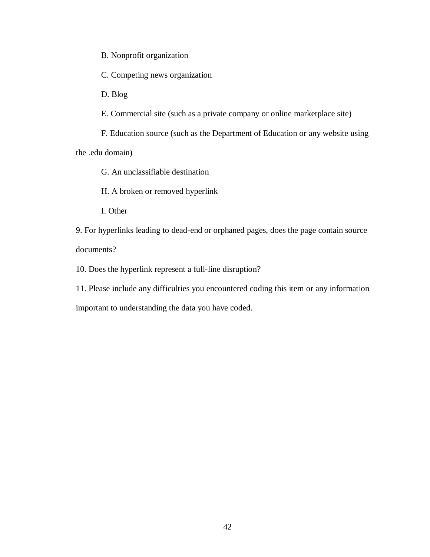B. Nonprofit organization

C. Competing news organization

D. Blog

E. Commercial site (such as a private company or online marketplace site)

F. Education source (such as the Department of Education or any website using

the .edu domain)

G. An unclassifiable destination

H. A broken or removed hyperlink

I. Other

9. For hyperlinks leading to dead-end or orphaned pages, does the page contain source documents?

10. Does the hyperlink represent a full-line disruption?

11. Please include any difficulties you encountered coding this item or any information

important to understanding the data you have coded.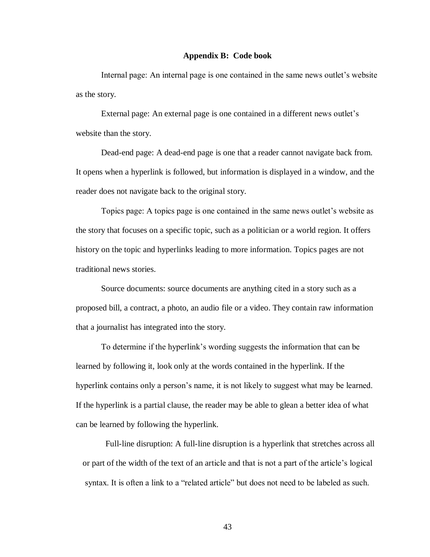#### **Appendix B: Code book**

Internal page: An internal page is one contained in the same news outlet's website as the story.

External page: An external page is one contained in a different news outlet's website than the story.

Dead-end page: A dead-end page is one that a reader cannot navigate back from. It opens when a hyperlink is followed, but information is displayed in a window, and the reader does not navigate back to the original story.

Topics page: A topics page is one contained in the same news outlet's website as the story that focuses on a specific topic, such as a politician or a world region. It offers history on the topic and hyperlinks leading to more information. Topics pages are not traditional news stories.

Source documents: source documents are anything cited in a story such as a proposed bill, a contract, a photo, an audio file or a video. They contain raw information that a journalist has integrated into the story.

To determine if the hyperlink's wording suggests the information that can be learned by following it, look only at the words contained in the hyperlink. If the hyperlink contains only a person's name, it is not likely to suggest what may be learned. If the hyperlink is a partial clause, the reader may be able to glean a better idea of what can be learned by following the hyperlink.

Full-line disruption: A full-line disruption is a hyperlink that stretches across all or part of the width of the text of an article and that is not a part of the article's logical syntax. It is often a link to a "related article" but does not need to be labeled as such.